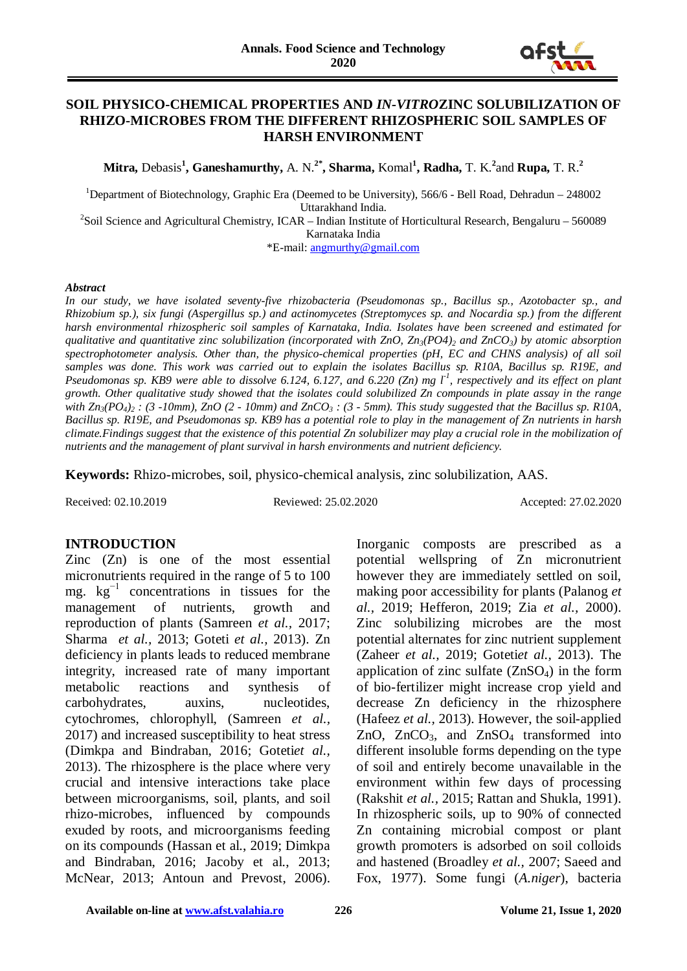

#### **SOIL PHYSICO-CHEMICAL PROPERTIES AND** *IN-VITRO***ZINC SOLUBILIZATION OF RHIZO-MICROBES FROM THE DIFFERENT RHIZOSPHERIC SOIL SAMPLES OF HARSH ENVIRONMENT**

**Mitra,** Debasis**<sup>1</sup> , Ganeshamurthy,** A. N.**2\*, Sharma,** Komal**<sup>1</sup> , Radha,** T. K.**<sup>2</sup>** and **Rupa,** T. R.**<sup>2</sup>**

<sup>1</sup>Department of Biotechnology, Graphic Era (Deemed to be University), 566/6 - Bell Road, Dehradun - 248002

Uttarakhand India.<br><sup>2</sup>Soil Science and Agricultural Chemistry, ICAR – Indian Institute of Horticultural Research, Bengaluru – 560089 Karnataka India

\*E-mail: [angmurthy@gmail.com](mailto:angmurthy@gmail.com)

#### *Abstract*

*In our study, we have isolated seventy-five rhizobacteria (Pseudomonas sp., Bacillus sp., Azotobacter sp., and Rhizobium sp.), six fungi (Aspergillus sp.) and actinomycetes (Streptomyces sp. and Nocardia sp.) from the different harsh environmental rhizospheric soil samples of Karnataka, India. Isolates have been screened and estimated for qualitative and quantitative zinc solubilization (incorporated with ZnO, Zn<sub>3</sub>(PO4)<sub>2</sub> and ZnCO<sub>3</sub>) by atomic absorption spectrophotometer analysis. Other than, the physico-chemical properties (pH, EC and CHNS analysis) of all soil samples was done. This work was carried out to explain the isolates Bacillus sp. R10A, Bacillus sp. R19E, and Pseudomonas sp. KB9 were able to dissolve 6.124, 6.127, and 6.220 (Zn) mg l-1 , respectively and its effect on plant growth. Other qualitative study showed that the isolates could solubilized Zn compounds in plate assay in the range with Zn3(PO4)2 : (3 -10mm), ZnO (2 - 10mm) and ZnCO3 : (3 - 5mm). This study suggested that the Bacillus sp. R10A, Bacillus sp. R19E, and Pseudomonas sp. KB9 has a potential role to play in the management of Zn nutrients in harsh climate.Findings suggest that the existence of this potential Zn solubilizer may play a crucial role in the mobilization of nutrients and the management of plant survival in harsh environments and nutrient deficiency.*

**Keywords:** Rhizo-microbes, soil, physico-chemical analysis, zinc solubilization, AAS.

Received: 02.10.2019 Reviewed: 25.02.2020 Accepted: 27.02.2020

#### **INTRODUCTION**

Zinc (Zn) is one of the most essential micronutrients required in the range of 5 to 100 mg.  $kg^{-1}$  concentrations in tissues for the management of nutrients, growth and reproduction of plants (Samreen *et al.,* 2017; Sharma *et al.,* 2013; Goteti *et al.,* 2013). Zn deficiency in plants leads to reduced membrane integrity, increased rate of many important metabolic reactions and synthesis of carbohydrates, auxins, nucleotides, cytochromes, chlorophyll, (Samreen *et al.,* 2017) and increased susceptibility to heat stress (Dimkpa and Bindraban, 2016; Goteti*et al.,* 2013). The rhizosphere is the place where very crucial and intensive interactions take place between microorganisms, soil, plants, and soil rhizo-microbes, influenced by compounds exuded by roots, and microorganisms feeding on its compounds (Hassan et al., 2019; Dimkpa and Bindraban, 2016; Jacoby et al., 2013; McNear, 2013; Antoun and Prevost, 2006).

Inorganic composts are prescribed as a potential wellspring of Zn micronutrient however they are immediately settled on soil, making poor accessibility for plants (Palanog *et al.,* 2019; Hefferon, 2019; Zia *et al.,* 2000). Zinc solubilizing microbes are the most potential alternates for zinc nutrient supplement (Zaheer *et al.,* 2019; Goteti*et al.,* 2013). The application of zinc sulfate  $(ZnSO<sub>4</sub>)$  in the form of bio-fertilizer might increase crop yield and decrease Zn deficiency in the rhizosphere (Hafeez *et al.,* 2013). However, the soil-applied ZnO,  $ZnCO<sub>3</sub>$ , and  $ZnSO<sub>4</sub>$  transformed into different insoluble forms depending on the type of soil and entirely become unavailable in the environment within few days of processing (Rakshit *et al.,* 2015; Rattan and Shukla, 1991). In rhizospheric soils, up to 90% of connected Zn containing microbial compost or plant growth promoters is adsorbed on soil colloids and hastened (Broadley *et al.,* 2007; Saeed and Fox, 1977). Some fungi (*A.niger*), bacteria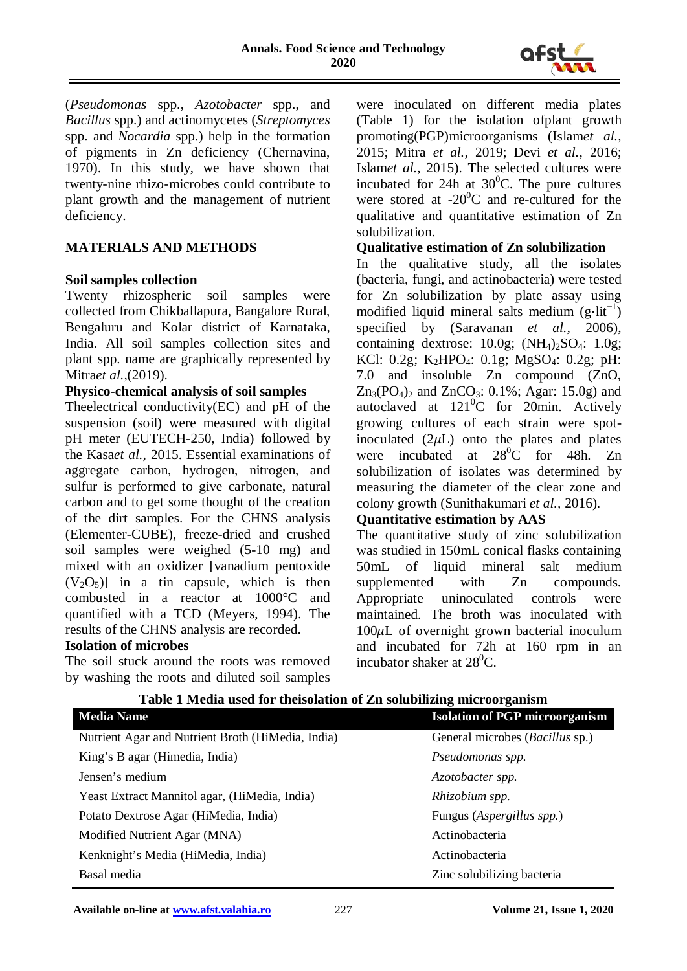

(*Pseudomonas* spp., *Azotobacter* spp., and *Bacillus* spp.) and actinomycetes (*Streptomyces* spp. and *Nocardia* spp.) help in the formation of pigments in Zn deficiency (Chernavina, 1970). In this study, we have shown that twenty-nine rhizo-microbes could contribute to plant growth and the management of nutrient deficiency.

## **MATERIALS AND METHODS**

### **Soil samples collection**

Twenty rhizospheric soil samples were collected from Chikballapura, Bangalore Rural, Bengaluru and Kolar district of Karnataka, India. All soil samples collection sites and plant spp. name are graphically represented by Mitra*et al.,*(2019).

### **Physico-chemical analysis of soil samples**

Theelectrical conductivity(EC) and pH of the suspension (soil) were measured with digital pH meter (EUTECH-250, India) followed by the Kasa*et al.,* 2015. Essential examinations of aggregate carbon, hydrogen, nitrogen, and sulfur is performed to give carbonate, natural carbon and to get some thought of the creation of the dirt samples. For the CHNS analysis (Elementer-CUBE), freeze-dried and crushed soil samples were weighed (5-10 mg) and mixed with an oxidizer [vanadium pentoxide  $(V<sub>2</sub>O<sub>5</sub>)$  in a tin capsule, which is then combusted in a reactor at 1000°C and quantified with a TCD (Meyers, 1994). The results of the CHNS analysis are recorded.

#### **Isolation of microbes**

The soil stuck around the roots was removed by washing the roots and diluted soil samples were inoculated on different media plates (Table 1) for the isolation ofplant growth promoting(PGP)microorganisms (Islam*et al.,* 2015; Mitra *et al.,* 2019; Devi *et al.,* 2016; Islam*et al.,* 2015). The selected cultures were incubated for 24h at  $30^{\circ}$ C. The pure cultures were stored at  $-20^{\circ}$ C and re-cultured for the qualitative and quantitative estimation of Zn solubilization.

### **Qualitative estimation of Zn solubilization**

In the qualitative study, all the isolates (bacteria, fungi, and actinobacteria) were tested for Zn solubilization by plate assay using modified liquid mineral salts medium  $(g·lit^{-1})$ specified by (Saravanan *et al.,* 2006), containing dextrose:  $10.0g$ ;  $(NH<sub>4</sub>)<sub>2</sub>SO<sub>4</sub>: 1.0g$ ; KCl: 0.2g; K<sub>2</sub>HPO<sub>4</sub>: 0.1g; MgSO<sub>4</sub>: 0.2g; pH: 7.0 and insoluble Zn compound (ZnO,  $Zn_3(PO_4)$ <sub>2</sub> and  $ZnCO_3$ : 0.1%; Agar: 15.0g) and autoclaved at  $121^0C$  for 20min. Actively growing cultures of each strain were spotinoculated  $(2\mu L)$  onto the plates and plates<br>were incubated at  $28^{\circ}$ C for 48h. Zn were incubated at  $28^{\circ}$ C for 48h. Zn solubilization of isolates was determined by measuring the diameter of the clear zone and colony growth (Sunithakumari *et al.,* 2016).

### **Quantitative estimation by AAS**

The quantitative study of zinc solubilization was studied in 150mL conical flasks containing 50mL of liquid mineral salt medium supplemented with Zn compounds. Appropriate uninoculated controls were maintained. The broth was inoculated with  $100\mu L$  of overnight grown bacterial inoculum and incubated for 72h at 160 rpm in an incubator shaker at  $28^0C$ .

| <b>Media Name</b>                                 | <b>Isolation of PGP microorganism</b>   |
|---------------------------------------------------|-----------------------------------------|
| Nutrient Agar and Nutrient Broth (HiMedia, India) | General microbes ( <i>Bacillus</i> sp.) |
| King's B agar (Himedia, India)                    | Pseudomonas spp.                        |
| Jensen's medium                                   | Azotobacter spp.                        |
| Yeast Extract Mannitol agar, (HiMedia, India)     | Rhizobium spp.                          |
| Potato Dextrose Agar (HiMedia, India)             | Fungus (Aspergillus spp.)               |
| Modified Nutrient Agar (MNA)                      | Actinobacteria                          |
| Kenknight's Media (HiMedia, India)                | Actinobacteria                          |
| Basal media                                       | Zinc solubilizing bacteria              |

### **Table 1 Media used for theisolation of Zn solubilizing microorganism**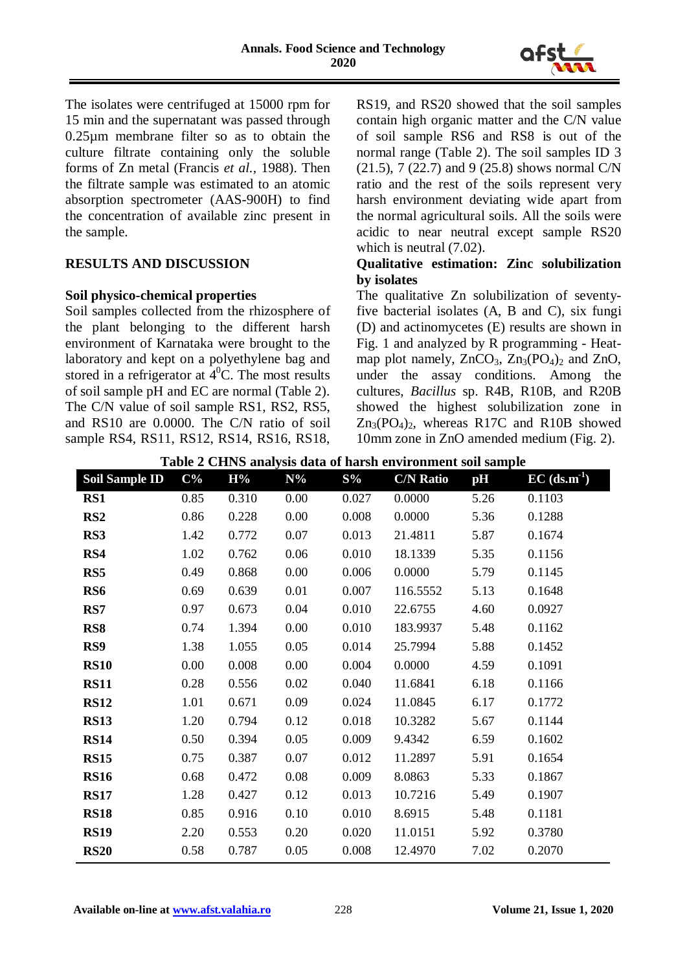

The isolates were centrifuged at 15000 rpm for 15 min and the supernatant was passed through 0.25µm membrane filter so as to obtain the culture filtrate containing only the soluble forms of Zn metal (Francis *et al.,* 1988). Then the filtrate sample was estimated to an atomic absorption spectrometer (AAS-900H) to find the concentration of available zinc present in the sample.

# **RESULTS AND DISCUSSION**

### **Soil physico-chemical properties**

Soil samples collected from the rhizosphere of the plant belonging to the different harsh environment of Karnataka were brought to the laboratory and kept on a polyethylene bag and stored in a refrigerator at  $4^{\circ}$ C. The most results of soil sample pH and EC are normal (Table 2). The C/N value of soil sample RS1, RS2, RS5, and RS10 are 0.0000. The C/N ratio of soil sample RS4, RS11, RS12, RS14, RS16, RS18,

RS19, and RS20 showed that the soil samples contain high organic matter and the C/N value of soil sample RS6 and RS8 is out of the normal range (Table 2). The soil samples ID 3 (21.5), 7 (22.7) and 9 (25.8) shows normal C/N ratio and the rest of the soils represent very harsh environment deviating wide apart from the normal agricultural soils. All the soils were acidic to near neutral except sample RS20 which is neutral  $(7.02)$ .

## **Qualitative estimation: Zinc solubilization by isolates**

The qualitative Zn solubilization of seventyfive bacterial isolates (A, B and C), six fungi (D) and actinomycetes (E) results are shown in Fig. 1 and analyzed by R programming - Heatmap plot namely,  $ZnCO_3$ ,  $Zn_3(PO_4)$ <sub>2</sub> and  $ZnO$ , under the assay conditions. Among the cultures, *Bacillus* sp. R4B, R10B, and R20B showed the highest solubilization zone in  $Zn_3(PO_4)$ , whereas R17C and R10B showed 10mm zone in ZnO amended medium (Fig. 2).

| <b>Soil Sample ID</b> | $C\%$ | H%    | $N\%$ | $S\%$ | <b>C/N Ratio</b> | pH   | $\overline{EC}$ (ds.m <sup>-1</sup> ) |
|-----------------------|-------|-------|-------|-------|------------------|------|---------------------------------------|
| RS1                   | 0.85  | 0.310 | 0.00  | 0.027 | 0.0000           | 5.26 | 0.1103                                |
| RS <sub>2</sub>       | 0.86  | 0.228 | 0.00  | 0.008 | 0.0000           | 5.36 | 0.1288                                |
| RS3                   | 1.42  | 0.772 | 0.07  | 0.013 | 21.4811          | 5.87 | 0.1674                                |
| RS4                   | 1.02  | 0.762 | 0.06  | 0.010 | 18.1339          | 5.35 | 0.1156                                |
| RS5                   | 0.49  | 0.868 | 0.00  | 0.006 | 0.0000           | 5.79 | 0.1145                                |
| RS <sub>6</sub>       | 0.69  | 0.639 | 0.01  | 0.007 | 116.5552         | 5.13 | 0.1648                                |
| RS7                   | 0.97  | 0.673 | 0.04  | 0.010 | 22.6755          | 4.60 | 0.0927                                |
| RS <sub>8</sub>       | 0.74  | 1.394 | 0.00  | 0.010 | 183.9937         | 5.48 | 0.1162                                |
| RS9                   | 1.38  | 1.055 | 0.05  | 0.014 | 25.7994          | 5.88 | 0.1452                                |
| <b>RS10</b>           | 0.00  | 0.008 | 0.00  | 0.004 | 0.0000           | 4.59 | 0.1091                                |
| <b>RS11</b>           | 0.28  | 0.556 | 0.02  | 0.040 | 11.6841          | 6.18 | 0.1166                                |
| <b>RS12</b>           | 1.01  | 0.671 | 0.09  | 0.024 | 11.0845          | 6.17 | 0.1772                                |
| <b>RS13</b>           | 1.20  | 0.794 | 0.12  | 0.018 | 10.3282          | 5.67 | 0.1144                                |
| <b>RS14</b>           | 0.50  | 0.394 | 0.05  | 0.009 | 9.4342           | 6.59 | 0.1602                                |
| <b>RS15</b>           | 0.75  | 0.387 | 0.07  | 0.012 | 11.2897          | 5.91 | 0.1654                                |
| <b>RS16</b>           | 0.68  | 0.472 | 0.08  | 0.009 | 8.0863           | 5.33 | 0.1867                                |
| <b>RS17</b>           | 1.28  | 0.427 | 0.12  | 0.013 | 10.7216          | 5.49 | 0.1907                                |
| <b>RS18</b>           | 0.85  | 0.916 | 0.10  | 0.010 | 8.6915           | 5.48 | 0.1181                                |
| <b>RS19</b>           | 2.20  | 0.553 | 0.20  | 0.020 | 11.0151          | 5.92 | 0.3780                                |
| <b>RS20</b>           | 0.58  | 0.787 | 0.05  | 0.008 | 12.4970          | 7.02 | 0.2070                                |

**Table 2 CHNS analysis data of harsh environment soil sample**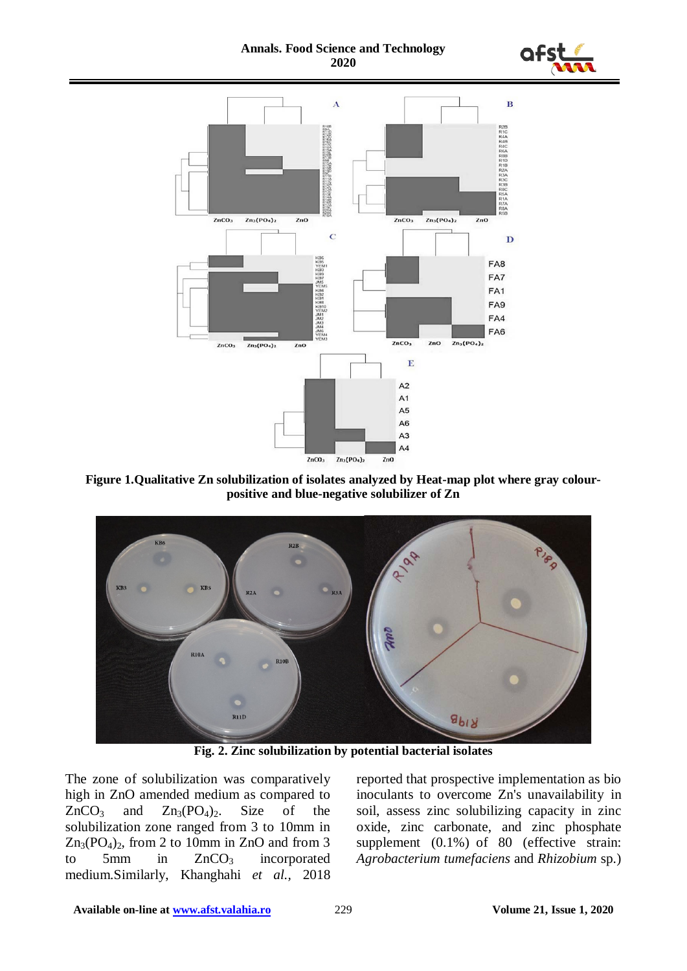**Annals. Food Science and Technology 2020**





**Figure 1.Qualitative Zn solubilization of isolates analyzed by Heat-map plot where gray colourpositive and blue-negative solubilizer of Zn**



**Fig. 2. Zinc solubilization by potential bacterial isolates**

The zone of solubilization was comparatively high in ZnO amended medium as compared to  $ZnCO<sub>3</sub>$  and  $Zn<sub>3</sub>(PO<sub>4</sub>)<sub>2</sub>$ . Size of the solubilization zone ranged from 3 to 10mm in  $Zn_3(PO_4)$ , from 2 to 10mm in ZnO and from 3 to 5mm in  $ZnCO<sub>3</sub>$  incorporated medium.Similarly, Khanghahi *et al.,* 2018 reported that prospective implementation as bio inoculants to overcome Zn's unavailability in soil, assess zinc solubilizing capacity in zinc oxide, zinc carbonate, and zinc phosphate supplement (0.1%) of 80 (effective strain: *Agrobacterium tumefaciens* and *Rhizobium* sp.)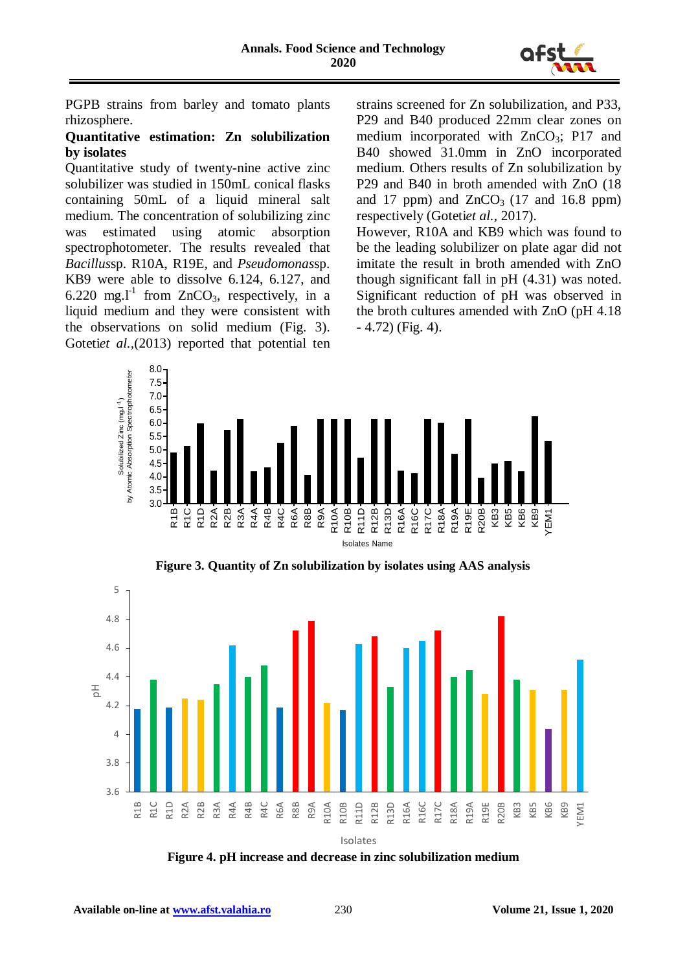

PGPB strains from barley and tomato plants rhizosphere.

### **Quantitative estimation: Zn solubilization by isolates**

Quantitative study of twenty-nine active zinc solubilizer was studied in 150mL conical flasks containing 50mL of a liquid mineral salt medium. The concentration of solubilizing zinc was estimated using atomic absorption spectrophotometer. The results revealed that *Bacillus*sp. R10A, R19E, and *Pseudomonas*sp. KB9 were able to dissolve 6.124, 6.127, and 6.220 mg.<sup>11</sup> from ZnCO<sub>3</sub>, respectively, in a liquid medium and they were consistent with the observations on solid medium (Fig. 3). Gotetiet al., (2013) reported that potential ten strains screened for Zn solubilization, and P33, P29 and B40 produced 22mm clear zones on medium incorporated with  $ZnCO<sub>3</sub>$ ; P17 and B40 showed 31.0mm in ZnO incorporated medium. Others results of Zn solubilization by P29 and B40 in broth amended with ZnO (18 and 17 ppm) and  $ZnCO<sub>3</sub>$  (17 and 16.8 ppm) respectively (Goteti*et al.,* 2017).

However, R10A and KB9 which was found to be the leading solubilizer on plate agar did not imitate the result in broth amended with ZnO though significant fall in pH (4.31) was noted. Significant reduction of pH was observed in the broth cultures amended with ZnO (pH 4.18  $-4.72$ ) (Fig. 4).



**Figure 3. Quantity of Zn solubilization by isolates using AAS analysis**



**Figure 4. pH increase and decrease in zinc solubilization medium**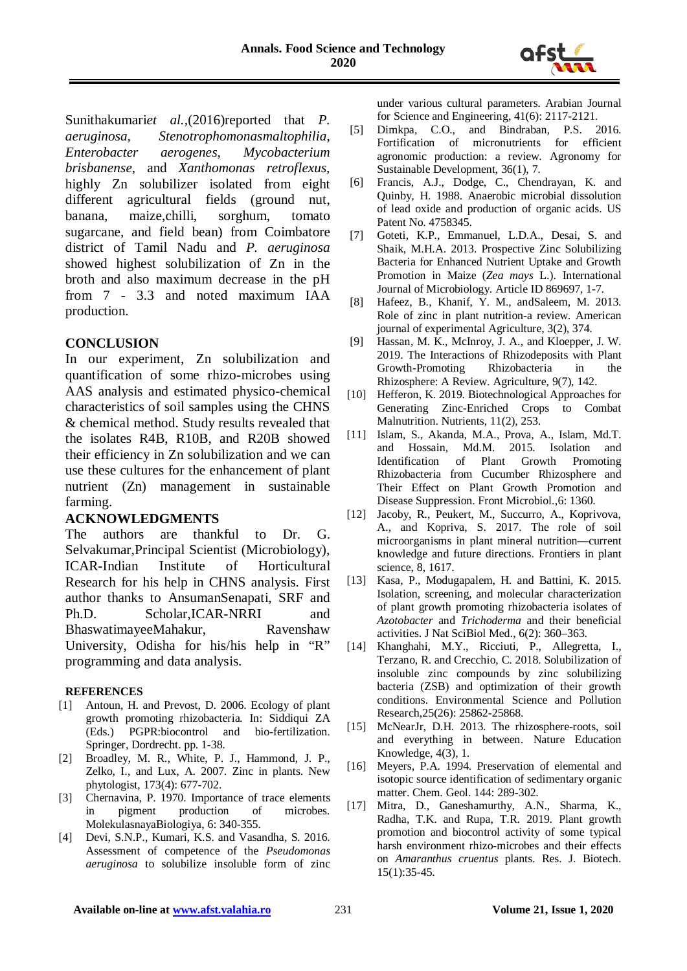

Sunithakumari*et al.,*(2016)reported that *P. aeruginosa, Stenotrophomonasmaltophilia*, *Enterobacter aerogenes*, *Mycobacterium brisbanense*, and *Xanthomonas retroflexus,* highly Zn solubilizer isolated from eight different agricultural fields (ground nut, banana, maize,chilli, sorghum, tomato sugarcane, and field bean) from Coimbatore district of Tamil Nadu and *P. aeruginosa* showed highest solubilization of Zn in the broth and also maximum decrease in the pH from 7 - 3.3 and noted maximum IAA production.

## **CONCLUSION**

In our experiment, Zn solubilization and quantification of some rhizo-microbes using AAS analysis and estimated physico-chemical characteristics of soil samples using the CHNS & chemical method. Study results revealed that the isolates R4B, R10B, and R20B showed their efficiency in Zn solubilization and we can use these cultures for the enhancement of plant nutrient (Zn) management in sustainable farming.

### **ACKNOWLEDGMENTS**

The authors are thankful to Dr. G. Selvakumar,Principal Scientist (Microbiology), ICAR-Indian Institute of Horticultural Research for his help in CHNS analysis. First author thanks to AnsumanSenapati, SRF and Ph.D. Scholar,ICAR-NRRI and BhaswatimayeeMahakur, Ravenshaw University, Odisha for his/his help in "R" programming and data analysis.

#### **REFERENCES**

- [1] Antoun, H. and Prevost, D. 2006. Ecology of plant growth promoting rhizobacteria*.* In: Siddiqui ZA (Eds.) PGPR:biocontrol and bio-fertilization. Springer, Dordrecht. pp. 1-38.
- [2] Broadley, M. R., White, P. J., Hammond, J. P., Zelko, I., and Lux, A. 2007. Zinc in plants. New phytologist, 173(4): 677-702.
- [3] Chernavina, P. 1970. Importance of trace elements in pigment production of MolekulasnayaBiologiya, 6: 340-355.
- [4] Devi, S.N.P., Kumari, K.S. and Vasandha, S. 2016. Assessment of competence of the *Pseudomonas aeruginosa* to solubilize insoluble form of zinc

under various cultural parameters. Arabian Journal for Science and Engineering, 41(6): 2117-2121.

- [5] Dimkpa, C.O., and Bindraban, P.S. 2016. Fortification of micronutrients for efficient agronomic production: a review. Agronomy for Sustainable Development, 36(1), 7.
- [6] Francis, A.J., Dodge, C., Chendrayan, K. and Quinby, H. 1988. Anaerobic microbial dissolution of lead oxide and production of organic acids. US Patent No. 4758345.
- [7] Goteti, K.P., Emmanuel, L.D.A., Desai, S. and Shaik, M.H.A. 2013. Prospective Zinc Solubilizing Bacteria for Enhanced Nutrient Uptake and Growth Promotion in Maize (*Zea mays* L.). International Journal of Microbiology. Article ID 869697, 1-7.
- [8] Hafeez, B., Khanif, Y. M., andSaleem, M. 2013. Role of zinc in plant nutrition-a review. American journal of experimental Agriculture, 3(2), 374.
- [9] Hassan, M. K., McInroy, J. A., and Kloepper, J. W. 2019. The Interactions of Rhizodeposits with Plant Growth-Promoting Rhizobacteria in the Rhizosphere: A Review. Agriculture, 9(7), 142.
- [10] Hefferon, K. 2019. Biotechnological Approaches for Generating Zinc-Enriched Crops to Combat Malnutrition. Nutrients, 11(2), 253.
- [11] Islam, S., Akanda, M.A., Prova, A., Islam, Md.T. and Hossain, Md.M. 2015. Isolation and Identification of Plant Growth Promoting Rhizobacteria from Cucumber Rhizosphere and Their Effect on Plant Growth Promotion and Disease Suppression. Front Microbiol.,6: 1360.
- [12] Jacoby, R., Peukert, M., Succurro, A., Koprivova, A., and Kopriva, S. 2017. The role of soil microorganisms in plant mineral nutrition—current knowledge and future directions. Frontiers in plant science, 8, 1617.
- [13] Kasa, P., Modugapalem, H. and Battini, K. 2015. Isolation, screening, and molecular characterization of plant growth promoting rhizobacteria isolates of *Azotobacter* and *Trichoderma* and their beneficial activities. J Nat SciBiol Med., 6(2): 360–363.
- [14] Khanghahi, M.Y., Ricciuti, P., Allegretta, I., Terzano, R. and Crecchio, C. 2018. Solubilization of insoluble zinc compounds by zinc solubilizing bacteria (ZSB) and optimization of their growth conditions. Environmental Science and Pollution Research,25(26): 25862-25868.
- [15] McNearJr, D.H. 2013. The rhizosphere-roots, soil and everything in between. Nature Education Knowledge, 4(3), 1.
- [16] Meyers, P.A. 1994. Preservation of elemental and isotopic source identification of sedimentary organic matter. Chem. Geol. 144: 289-302.
- [17] Mitra, D., Ganeshamurthy, A.N., Sharma, K., Radha, T.K. and Rupa, T.R. 2019. Plant growth promotion and biocontrol activity of some typical harsh environment rhizo-microbes and their effects on *Amaranthus cruentus* plants. Res. J. Biotech. 15(1):35-45.